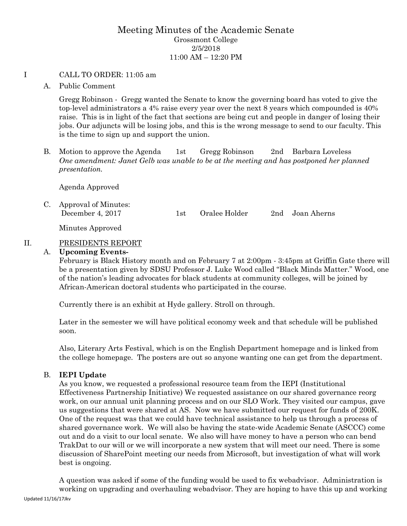# Meeting Minutes of the Academic Senate Grossmont College 2/5/2018 11:00 AM – 12:20 PM

#### I CALL TO ORDER: 11:05 am

A. Public Comment

Gregg Robinson - Gregg wanted the Senate to know the governing board has voted to give the top-level administrators a 4% raise every year over the next 8 years which compounded is 40% raise. This is in light of the fact that sections are being cut and people in danger of losing their jobs. Our adjuncts will be losing jobs, and this is the wrong message to send to our faculty. This is the time to sign up and support the union.

B. Motion to approve the Agenda 1st Gregg Robinson 2nd Barbara Loveless *One amendment: Janet Gelb was unable to be at the meeting and has postponed her planned presentation.*

Agenda Approved

C. Approval of Minutes: December 4, 2017 1st Oralee Holder 2nd Joan Aherns

Minutes Approved

## II. PRESIDENTS REPORT

#### A. **Upcoming Events-**

February is Black History month and on February 7 at 2:00pm - 3:45pm at Griffin Gate there will be a presentation given by SDSU Professor J. Luke Wood called "Black Minds Matter." Wood, one of the nation's leading advocates for black students at community colleges, will be joined by African-American doctoral students who participated in the course.

Currently there is an exhibit at Hyde gallery. Stroll on through.

Later in the semester we will have political economy week and that schedule will be published soon.

Also, Literary Arts Festival, which is on the English Department homepage and is linked from the college homepage. The posters are out so anyone wanting one can get from the department.

## B. **IEPI Update**

As you know, we requested a professional resource team from the IEPI (Institutional Effectiveness Partnership Initiative) We requested assistance on our shared governance reorg work, on our annual unit planning process and on our SLO Work. They visited our campus, gave us suggestions that were shared at AS. Now we have submitted our request for funds of 200K. One of the request was that we could have technical assistance to help us through a process of shared governance work. We will also be having the state-wide Academic Senate (ASCCC) come out and do a visit to our local senate. We also will have money to have a person who can bend TrakDat to our will or we will incorporate a new system that will meet our need. There is some discussion of SharePoint meeting our needs from Microsoft, but investigation of what will work best is ongoing.

A question was asked if some of the funding would be used to fix webadvisor. Administration is working on upgrading and overhauling webadvisor. They are hoping to have this up and working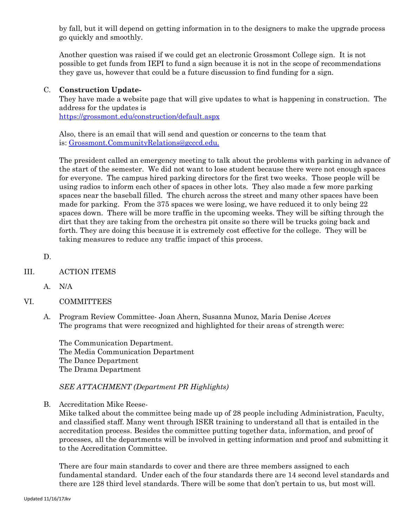by fall, but it will depend on getting information in to the designers to make the upgrade process go quickly and smoothly.

Another question was raised if we could get an electronic Grossmont College sign. It is not possible to get funds from IEPI to fund a sign because it is not in the scope of recommendations they gave us, however that could be a future discussion to find funding for a sign.

## C. **Construction Update-**

They have made a website page that will give updates to what is happening in construction. The address for the updates is

<https://grossmont.edu/construction/default.aspx>

Also, there is an email that will send and question or concerns to the team that is: [Grossmont.CommunityRelations@gcccd.edu.](mailto:Grossmont.CommunityRelations@gcccd.edu)

The president called an emergency meeting to talk about the problems with parking in advance of the start of the semester. We did not want to lose student because there were not enough spaces for everyone. The campus hired parking directors for the first two weeks. Those people will be using radios to inform each other of spaces in other lots. They also made a few more parking spaces near the baseball filled. The church across the street and many other spaces have been made for parking. From the 375 spaces we were losing, we have reduced it to only being 22 spaces down. There will be more traffic in the upcoming weeks. They will be sifting through the dirt that they are taking from the orchestra pit onsite so there will be trucks going back and forth. They are doing this because it is extremely cost effective for the college. They will be taking measures to reduce any traffic impact of this process.

D.

## III. ACTION ITEMS

- A. N/A
- VI. COMMITTEES
	- A. Program Review Committee- Joan Ahern, Susanna Munoz, Maria Denise *Aceves* The programs that were recognized and highlighted for their areas of strength were:

The Communication Department. The Media Communication Department The Dance Department The Drama Department

## *SEE ATTACHMENT (Department PR Highlights)*

B. Accreditation Mike Reese-

Mike talked about the committee being made up of 28 people including Administration, Faculty, and classified staff. Many went through ISER training to understand all that is entailed in the accreditation process. Besides the committee putting together data, information, and proof of processes, all the departments will be involved in getting information and proof and submitting it to the Accreditation Committee.

There are four main standards to cover and there are three members assigned to each fundamental standard. Under each of the four standards there are 14 second level standards and there are 128 third level standards. There will be some that don't pertain to us, but most will.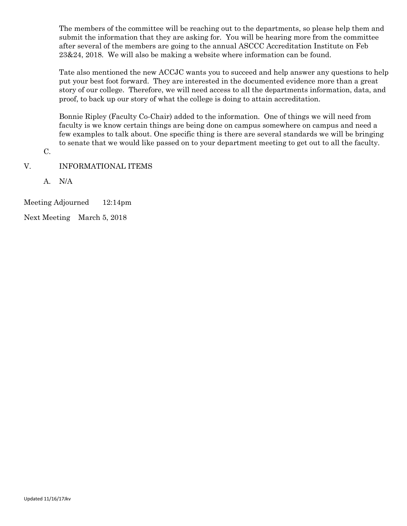The members of the committee will be reaching out to the departments, so please help them and submit the information that they are asking for. You will be hearing more from the committee after several of the members are going to the annual ASCCC Accreditation Institute on Feb 23&24, 2018. We will also be making a website where information can be found.

Tate also mentioned the new ACCJC wants you to succeed and help answer any questions to help put your best foot forward. They are interested in the documented evidence more than a great story of our college. Therefore, we will need access to all the departments information, data, and proof, to back up our story of what the college is doing to attain accreditation.

Bonnie Ripley (Faculty Co-Chair) added to the information. One of things we will need from faculty is we know certain things are being done on campus somewhere on campus and need a few examples to talk about. One specific thing is there are several standards we will be bringing to senate that we would like passed on to your department meeting to get out to all the faculty.

C.

- V. INFORMATIONAL ITEMS
	- A. N/A

Meeting Adjourned 12:14pm

Next Meeting March 5, 2018